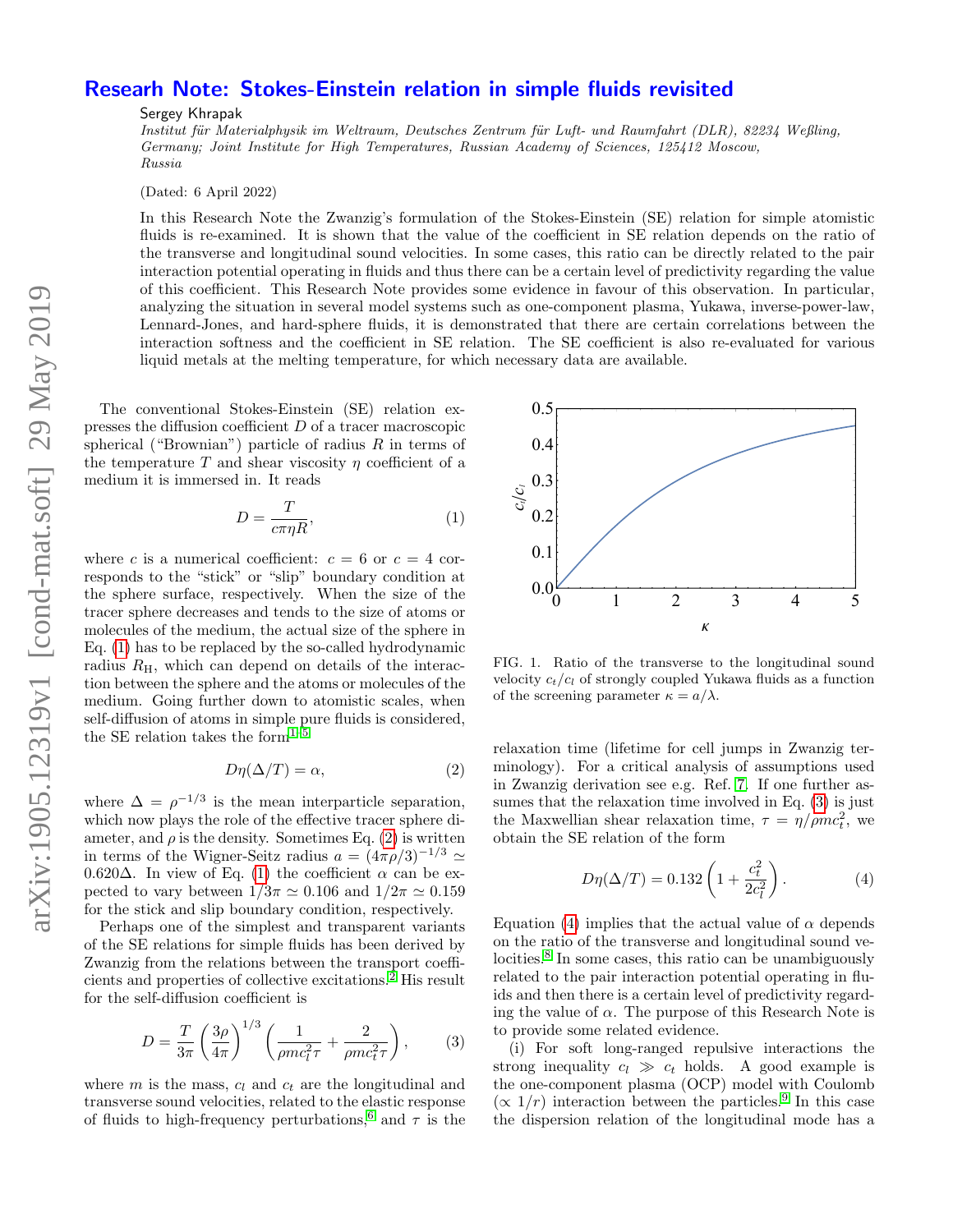## Researh Note: Stokes-Einstein relation in simple fluids revisited

Sergey Khrapak

Institut für Materialphysik im Weltraum, Deutsches Zentrum für Luft- und Raumfahrt (DLR), 82234 Weßling, Germany; Joint Institute for High Temperatures, Russian Academy of Sciences, 125412 Moscow, Russia

(Dated: 6 April 2022)

In this Research Note the Zwanzig's formulation of the Stokes-Einstein (SE) relation for simple atomistic fluids is re-examined. It is shown that the value of the coefficient in SE relation depends on the ratio of the transverse and longitudinal sound velocities. In some cases, this ratio can be directly related to the pair interaction potential operating in fluids and thus there can be a certain level of predictivity regarding the value of this coefficient. This Research Note provides some evidence in favour of this observation. In particular, analyzing the situation in several model systems such as one-component plasma, Yukawa, inverse-power-law, Lennard-Jones, and hard-sphere fluids, it is demonstrated that there are certain correlations between the interaction softness and the coefficient in SE relation. The SE coefficient is also re-evaluated for various liquid metals at the melting temperature, for which necessary data are available.

The conventional Stokes-Einstein (SE) relation expresses the diffusion coefficient D of a tracer macroscopic spherical ("Brownian") particle of radius  $R$  in terms of the temperature T and shear viscosity  $\eta$  coefficient of a medium it is immersed in. It reads

<span id="page-0-0"></span>
$$
D = \frac{T}{c\pi\eta R},\tag{1}
$$

where c is a numerical coefficient:  $c = 6$  or  $c = 4$  corresponds to the "stick" or "slip" boundary condition at the sphere surface, respectively. When the size of the tracer sphere decreases and tends to the size of atoms or molecules of the medium, the actual size of the sphere in Eq. [\(1\)](#page-0-0) has to be replaced by the so-called hydrodynamic radius  $R_{\rm H}$ , which can depend on details of the interaction between the sphere and the atoms or molecules of the medium. Going further down to atomistic scales, when self-diffusion of atoms in simple pure fluids is considered, the SE relation takes the form $1-5$  $1-5$ It as parent same, which are propertively. When the sate of the meltic of the meltic of the melting is  $\eta$  the term of the set of the set of the perturbations of the melting in  $\eta$  can be explored by the neutral size o

<span id="page-0-1"></span>
$$
D\eta(\Delta/T) = \alpha,\tag{2}
$$

where  $\Delta = \rho^{-1/3}$  is the mean interparticle separation, which now plays the role of the effective tracer sphere diameter, and  $\rho$  is the density. Sometimes Eq. [\(2\)](#page-0-1) is written in terms of the Wigner-Seitz radius  $a = (4\pi\rho/3)^{-1/3} \simeq$ 0.620 $\Delta$ . In view of Eq. [\(1\)](#page-0-0) the coefficient α can be expected to vary between  $1/3\pi \simeq 0.106$  and  $1/2\pi \simeq 0.159$ for the stick and slip boundary condition, respectively.

Perhaps one of the simplest and transparent variants of the SE relations for simple fluids has been derived by Zwanzig from the relations between the transport coefficients and properties of collective excitations.[2](#page-2-2) His result for the self-diffusion coefficient is

<span id="page-0-2"></span>
$$
D = \frac{T}{3\pi} \left(\frac{3\rho}{4\pi}\right)^{1/3} \left(\frac{1}{\rho mc_l^2 \tau} + \frac{2}{\rho mc_t^2 \tau}\right),\tag{3}
$$

where  $m$  is the mass,  $c_l$  and  $c_t$  are the longitudinal and transverse sound velocities, related to the elastic response<br>of fluids to high-frequency perturbations,<sup>6</sup> and  $\tau$  is the



<span id="page-0-4"></span>FIG. 1. Ratio of the transverse to the longitudinal sound velocity  $c_t/c_l$  of strongly coupled Yukawa fluids as a function of the screening parameter  $\kappa = a/\lambda$ .

relaxation time (lifetime for cell jumps in Zwanzig terminology). For a critical analysis of assumptions used in Zwanzig derivation see e.g. Ref. [7.](#page-2-4) If one further assumes that the relaxation time involved in Eq. [\(3\)](#page-0-2) is just the Maxwellian shear relaxation time,  $\tau = \eta / \rho m c_t^2$ , we obtain the SE relation of the form

<span id="page-0-3"></span>
$$
D\eta(\Delta/T) = 0.132 \left( 1 + \frac{c_t^2}{2c_l^2} \right). \tag{4}
$$

Equation [\(4\)](#page-0-3) implies that the actual value of  $\alpha$  depends on the ratio of the transverse and longitudinal sound ve-locities.<sup>[8](#page-2-5)</sup> In some cases, this ratio can be unambiguously related to the pair interaction potential operating in fluids and then there is a certain level of predictivity regarding the value of  $\alpha$ . The purpose of this Research Note is to provide some related evidence.

(i) For soft long-ranged repulsive interactions the strong inequality  $c_l \gg c_t$  holds. A good example is the one-component plasma (OCP) model with Coulomb  $(\propto 1/r)$  interaction between the particles.<sup>[9](#page-2-6)</sup> In this case the dispersion relation of the longitudinal mode has a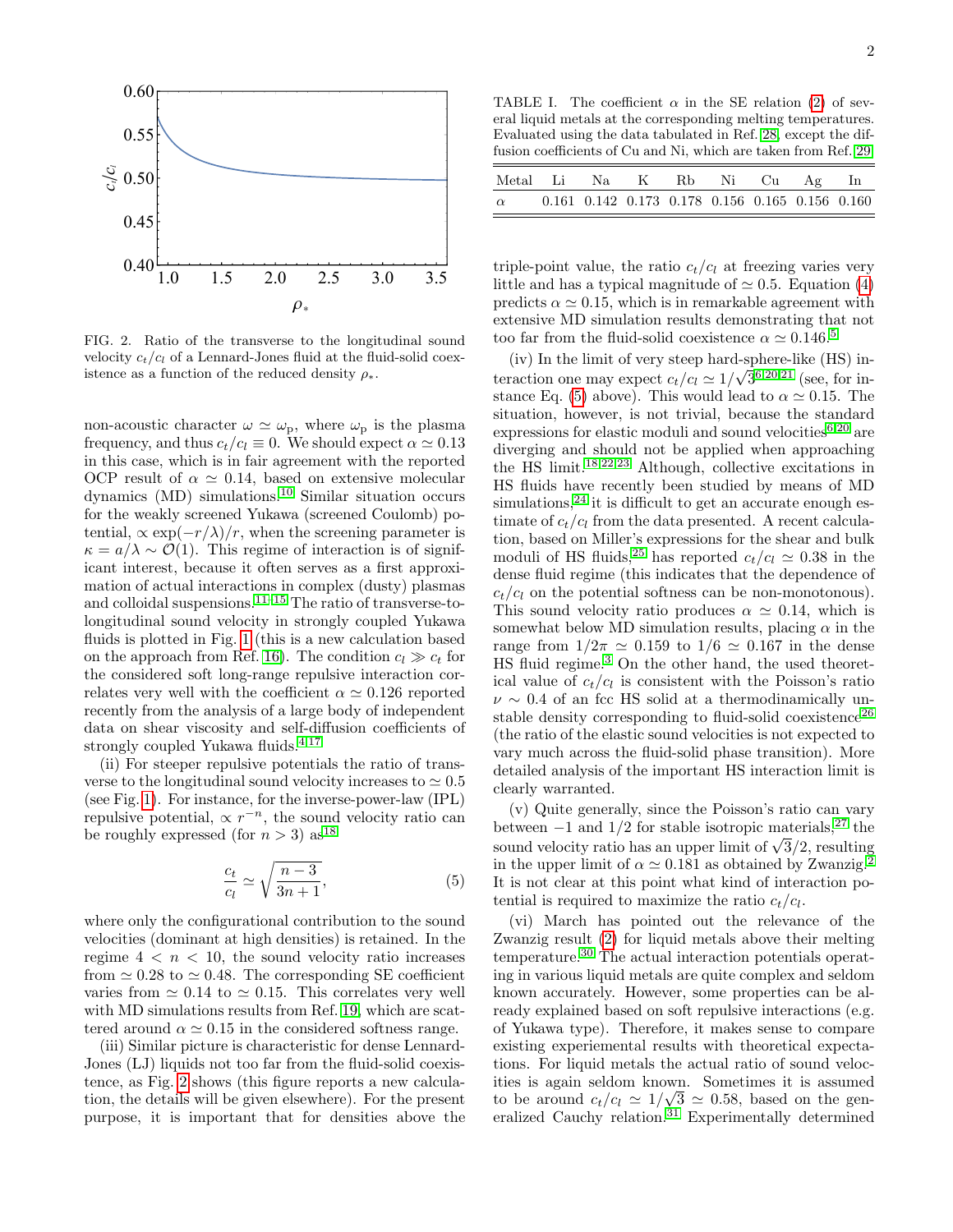

<span id="page-1-0"></span>FIG. 2. Ratio of the transverse to the longitudinal sound velocity  $c_t/c_l$  of a Lennard-Jones fluid at the fluid-solid coexistence as a function of the reduced density  $\rho_*$ .

non-acoustic character  $\omega \simeq \omega_{\rm p}$ , where  $\omega_{\rm p}$  is the plasma frequency, and thus  $c_t/c_l \equiv 0$ . We should expect  $\alpha \simeq 0.13$ in this case, which is in fair agreement with the reported OCP result of  $\alpha \simeq 0.14$ , based on extensive molecular dynamics (MD) simulations.[10](#page-2-7) Similar situation occurs for the weakly screened Yukawa (screened Coulomb) potential,  $\propto \exp(-r/\lambda)/r$ , when the screening parameter is  $\kappa = a/\lambda \sim \mathcal{O}(1)$ . This regime of interaction is of significant interest, because it often serves as a first approximation of actual interactions in complex (dusty) plasmas and colloidal suspensions.<sup>[11–](#page-2-8)[15](#page-2-9)</sup> The ratio of transverse-tolongitudinal sound velocity in strongly coupled Yukawa fluids is plotted in Fig. [1](#page-0-4) (this is a new calculation based on the approach from Ref. [16\)](#page-2-10). The condition  $c_l \gg c_t$  for the considered soft long-range repulsive interaction correlates very well with the coefficient  $\alpha \simeq 0.126$  reported recently from the analysis of a large body of independent data on shear viscosity and self-diffusion coefficients of strongly coupled Yukawa fluids.  $4,17$  $4,17$ 

(ii) For steeper repulsive potentials the ratio of transverse to the longitudinal sound velocity increases to  $\simeq 0.5$ (see Fig. [1\)](#page-0-4). For instance, for the inverse-power-law (IPL) repulsive potential,  $\propto r^{-n}$ , the sound velocity ratio can be roughly expressed (for  $n > 3$ ) as<sup>[18](#page-2-13)</sup>

<span id="page-1-1"></span>
$$
\frac{c_t}{c_l} \simeq \sqrt{\frac{n-3}{3n+1}},\tag{5}
$$

where only the configurational contribution to the sound velocities (dominant at high densities) is retained. In the regime  $4 < n < 10$ , the sound velocity ratio increases from  $\simeq 0.28$  to  $\simeq 0.48$ . The corresponding SE coefficient varies from  $\simeq 0.14$  to  $\simeq 0.15$ . This correlates very well with MD simulations results from Ref. [19,](#page-2-14) which are scattered around  $\alpha \simeq 0.15$  in the considered softness range.

(iii) Similar picture is characteristic for dense Lennard-Jones (LJ) liquids not too far from the fluid-solid coexistence, as Fig. [2](#page-1-0) shows (this figure reports a new calculation, the details will be given elsewhere). For the present purpose, it is important that for densities above the

<span id="page-1-2"></span>TABLE I. The coefficient  $\alpha$  in the SE relation [\(2\)](#page-0-1) of several liquid metals at the corresponding melting temperatures. Evaluated using the data tabulated in Ref. [28,](#page-2-15) except the diffusion coefficients of Cu and Ni, which are taken from Ref. [29.](#page-2-16)

| Metal Li Na K Rb Ni Cu Ag In |                                                                 |  |  |  |
|------------------------------|-----------------------------------------------------------------|--|--|--|
| $\alpha$                     | $0.161$ $0.142$ $0.173$ $0.178$ $0.156$ $0.165$ $0.156$ $0.160$ |  |  |  |

triple-point value, the ratio  $c_t/c_l$  at freezing varies very little and has a typical magnitude of  $\simeq 0.5$ . Equation [\(4\)](#page-0-3) predicts  $\alpha \simeq 0.15$ , which is in remarkable agreement with extensive MD simulation results demonstrating that not too far from the fluid-solid coexistence  $\alpha \simeq 0.146$ <sup>[5](#page-2-1)</sup>

(iv) In the limit of very steep hard-sphere-like (HS) interaction one may expect  $c_t/c_l \simeq 1/\sqrt{3}^{6,20,21}$  $c_t/c_l \simeq 1/\sqrt{3}^{6,20,21}$  $c_t/c_l \simeq 1/\sqrt{3}^{6,20,21}$  $c_t/c_l \simeq 1/\sqrt{3}^{6,20,21}$  $c_t/c_l \simeq 1/\sqrt{3}^{6,20,21}$  (see, for in-stance Eq. [\(5\)](#page-1-1) above). This would lead to  $\alpha \simeq 0.15$ . The situation, however, is not trivial, because the standard expressions for elastic moduli and sound velocities $6,20$  $6,20$  are diverging and should not be applied when approaching the HS limit.[18](#page-2-13)[,22,](#page-2-19)[23](#page-2-20) Although, collective excitations in HS fluids have recently been studied by means of MD  $simulations<sup>24</sup>$  $simulations<sup>24</sup>$  $simulations<sup>24</sup>$  it is difficult to get an accurate enough estimate of  $c_t/c_l$  from the data presented. A recent calculation, based on Miller's expressions for the shear and bulk moduli of HS fluids,<sup>[25](#page-2-22)</sup> has reported  $c_t/c_l \simeq 0.38$  in the dense fluid regime (this indicates that the dependence of  $c_t/c_l$  on the potential softness can be non-monotonous). This sound velocity ratio produces  $\alpha \simeq 0.14$ , which is somewhat below MD simulation results, placing  $\alpha$  in the range from  $1/2\pi \simeq 0.159$  to  $1/6 \simeq 0.167$  in the dense HS fluid regime.[3](#page-2-23) On the other hand, the used theoretical value of  $c_t/c_l$  is consistent with the Poisson's ratio  $\nu \sim 0.4$  of an fcc HS solid at a thermodinamically un-stable density corresponding to fluid-solid coexistence<sup>[26](#page-2-24)</sup> (the ratio of the elastic sound velocities is not expected to vary much across the fluid-solid phase transition). More detailed analysis of the important HS interaction limit is clearly warranted.

(v) Quite generally, since the Poisson's ratio can vary between  $-1$  and  $1/2$  for stable isotropic materials,<sup>[27](#page-2-25)</sup> the between  $-1$  and  $1/2$  for stable isotropic materials, the<br>sound velocity ratio has an upper limit of  $\sqrt{3}/2$ , resulting in the upper limit of  $\alpha \simeq 0.181$  as obtained by Zwanzig.<sup>[2](#page-2-2)</sup> It is not clear at this point what kind of interaction potential is required to maximize the ratio  $c_t/c_l$ .

(vi) March has pointed out the relevance of the Zwanzig result [\(2\)](#page-0-1) for liquid metals above their melting temperature.[30](#page-2-26) The actual interaction potentials operating in various liquid metals are quite complex and seldom known accurately. However, some properties can be already explained based on soft repulsive interactions (e.g. of Yukawa type). Therefore, it makes sense to compare existing experiemental results with theoretical expectations. For liquid metals the actual ratio of sound velocities is again seldom known. Sometimes it is assumed to be around  $c_t/c_l \simeq 1/\sqrt{3} \simeq 0.58$ , based on the gen-eralized Cauchy relation.<sup>[31](#page-2-27)</sup> Experimentally determined